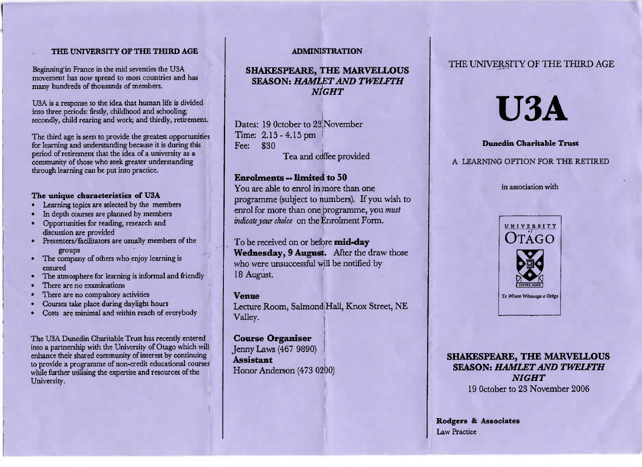## **THE UNIVERSITY OF THE THIRD AGE**

Beginning'in France in the mid seventies the U3A movement has now spread to most countries and hasmany hundreds of thousands of members,

USA is a response to the idea that human life is dividedinto three periods: firstly, childhood and schooling;secondly, child rearing and work; and thirdly, retirement.

The third age is seen to provide the greatest opportunitiesfor learning and understanding because it is during thisperiod of retirement that the idea of a university as a community of those who seek greater understandingthrough learning can be put into practice.

#### **The unique characteristics of U3A**

- Learning topics are selected by the members
- In depth courses are planned by members
- Opportunities for reading, research anddiscussion are provided
- Presenters/facilitators are usually members of thegroups
- The company of others who enjoy learning isensured
- The atmosphere for learning is informal and friendly
- There are no examinations
- There are no compulsory activities
- Courses take place during daylight hours
- Costs are minimal and within reach of everybody

The USA Dunedin Charitable Trust has recently entered into a partnership with the University of Otago which will enhance their shared community of interest by continuing to provide a programme of non-credit educational courseswhile further utilising the expertise and resources of theUniversity,

### **ADMINISTRATION**

# **SHAKESPEARE, THE MARVELLOUS SEASON:** *HAMLET AND TWELFTHNIGHT*

Dates: 19 0ctober to 23 November Time: 2.15 -4.15pmFee: \$30Tea and coffee provided

## **Enrolments — limited to 50**

 You are able to enrol in more than one programme (subject to numbers). If you wish toenrol for more than one programme, you *must*indicate your choice on the Enrolment Form.

To be received on or before **mid-day Wednesday, 9 August.** After the draw thosewho were unsuccessful will be notified by18 August.

**Venue**Lecture Room, Salmond|Hall, Knox Street, NE Valley.

**Course Organiser** Jenny Laws (467 9890) ]**Assistant**Honor Anderson (473 0200)

## THE UNIVERSITY OF THE THIRD AGE

# **USA**

#### **Dunedin Charitable Trust**

## A LEARNING OPTION FOR THE RETIRED

#### in association with



**SHAKESPEARE, THE MARVELLOUS SEASON:** *HAMLET AND TWELFTHNIGHT*19 October to 23 November 2006

**Rodgers & Associates**Law Practice